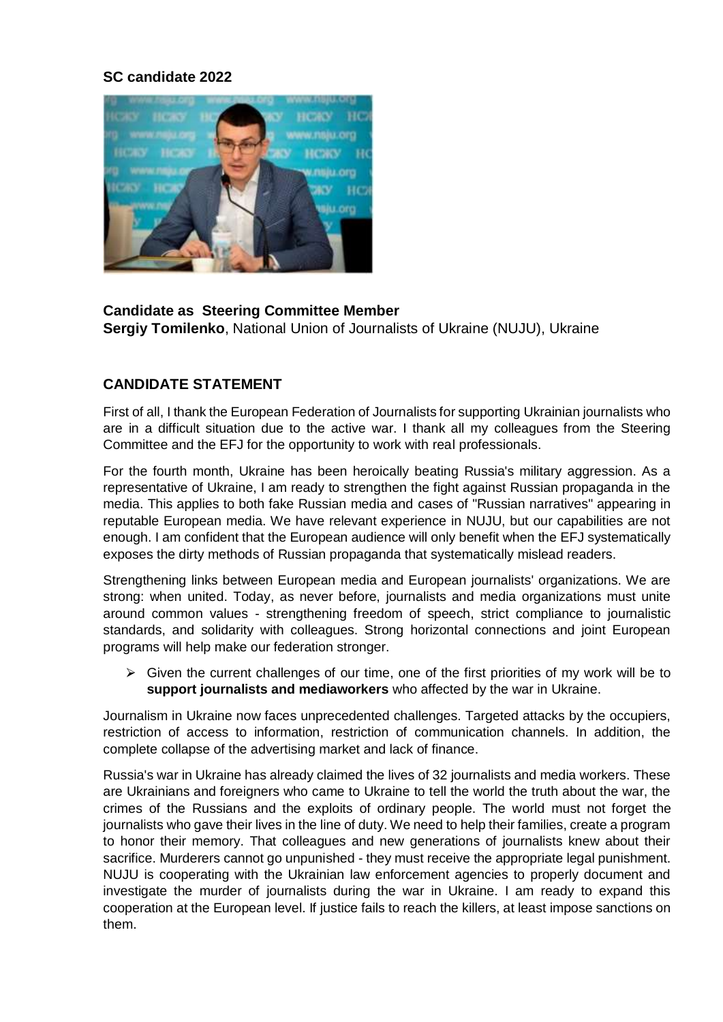## **SC candidate 2022**



**Candidate as Steering Committee Member Sergiy Tomilenko**, National Union of Journalists of Ukraine (NUJU), Ukraine

# **CANDIDATE STATEMENT**

First of all, I thank the European Federation of Journalists for supporting Ukrainian journalists who are in a difficult situation due to the active war. I thank all my colleagues from the Steering Committee and the EFJ for the opportunity to work with real professionals.

For the fourth month, Ukraine has been heroically beating Russia's military aggression. As a representative of Ukraine, I am ready to strengthen the fight against Russian propaganda in the media. This applies to both fake Russian media and cases of "Russian narratives" appearing in reputable European media. We have relevant experience in NUJU, but our capabilities are not enough. I am confident that the European audience will only benefit when the EFJ systematically exposes the dirty methods of Russian propaganda that systematically mislead readers.

Strengthening links between European media and European journalists' organizations. We are strong: when united. Today, as never before, journalists and media organizations must unite around common values - strengthening freedom of speech, strict compliance to journalistic standards, and solidarity with colleagues. Strong horizontal connections and joint European programs will help make our federation stronger.

 $\triangleright$  Given the current challenges of our time, one of the first priorities of my work will be to **support journalists and mediaworkers** who affected by the war in Ukraine.

Journalism in Ukraine now faces unprecedented challenges. Targeted attacks by the occupiers, restriction of access to information, restriction of communication channels. In addition, the complete collapse of the advertising market and lack of finance.

Russia's war in Ukraine has already claimed the lives of 32 journalists and media workers. These are Ukrainians and foreigners who came to Ukraine to tell the world the truth about the war, the crimes of the Russians and the exploits of ordinary people. The world must not forget the journalists who gave their lives in the line of duty. We need to help their families, create a program to honor their memory. That colleagues and new generations of journalists knew about their sacrifice. Murderers cannot go unpunished - they must receive the appropriate legal punishment. NUJU is cooperating with the Ukrainian law enforcement agencies to properly document and investigate the murder of journalists during the war in Ukraine. I am ready to expand this cooperation at the European level. If justice fails to reach the killers, at least impose sanctions on them.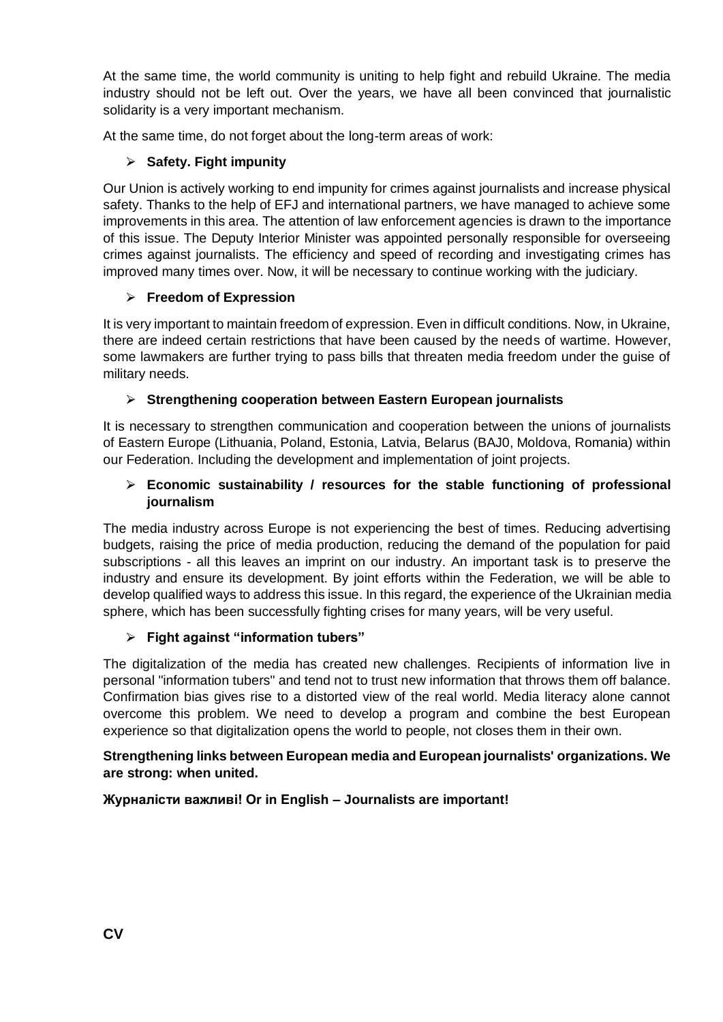At the same time, the world community is uniting to help fight and rebuild Ukraine. The media industry should not be left out. Over the years, we have all been convinced that journalistic solidarity is a very important mechanism.

At the same time, do not forget about the long-term areas of work:

## ⮚ **Safety. Fight impunity**

Our Union is actively working to end impunity for crimes against journalists and increase physical safety. Thanks to the help of EFJ and international partners, we have managed to achieve some improvements in this area. The attention of law enforcement agencies is drawn to the importance of this issue. The Deputy Interior Minister was appointed personally responsible for overseeing crimes against journalists. The efficiency and speed of recording and investigating crimes has improved many times over. Now, it will be necessary to continue working with the judiciary.

## ⮚ **Freedom of Expression**

It is very important to maintain freedom of expression. Even in difficult conditions. Now, in Ukraine, there are indeed certain restrictions that have been caused by the needs of wartime. However, some lawmakers are further trying to pass bills that threaten media freedom under the guise of military needs.

## ⮚ **Strengthening cooperation between Eastern European journalists**

It is necessary to strengthen communication and cooperation between the unions of journalists of Eastern Europe (Lithuania, Poland, Estonia, Latvia, Belarus (BAJ0, Moldova, Romania) within our Federation. Including the development and implementation of joint projects.

### ⮚ **Economic sustainability / resources for the stable functioning of professional journalism**

The media industry across Europe is not experiencing the best of times. Reducing advertising budgets, raising the price of media production, reducing the demand of the population for paid subscriptions - all this leaves an imprint on our industry. An important task is to preserve the industry and ensure its development. By joint efforts within the Federation, we will be able to develop qualified ways to address this issue. In this regard, the experience of the Ukrainian media sphere, which has been successfully fighting crises for many years, will be very useful.

#### ⮚ **Fight against "information tubers"**

The digitalization of the media has created new challenges. Recipients of information live in personal "information tubers" and tend not to trust new information that throws them off balance. Confirmation bias gives rise to a distorted view of the real world. Media literacy alone cannot overcome this problem. We need to develop a program and combine the best European experience so that digitalization opens the world to people, not closes them in their own.

#### **Strengthening links between European media and European journalists' organizations. We are strong: when united.**

#### **Журналісти важливі! Or in English – Journalists are important!**